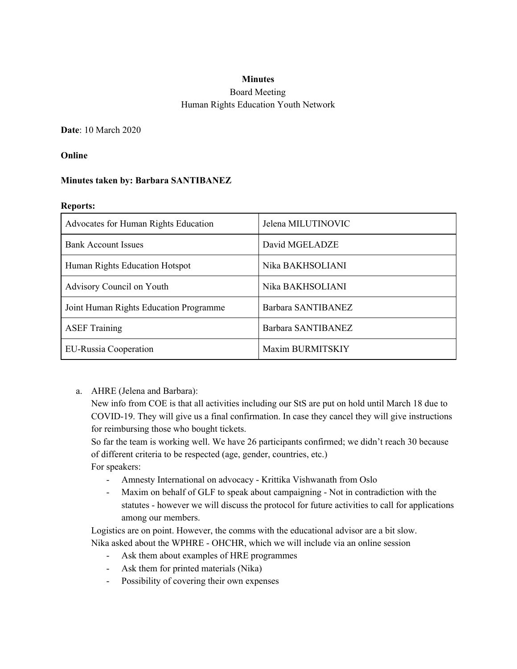# **Minutes** Board Meeting Human Rights Education Youth Network

**Date**: 10 March 2020

### **Online**

### **Minutes taken by: Barbara SANTIBANEZ**

#### **Reports:**

| Advocates for Human Rights Education   | Jelena MILUTINOVIC |
|----------------------------------------|--------------------|
| <b>Bank Account Issues</b>             | David MGELADZE     |
| Human Rights Education Hotspot         | Nika BAKHSOLIANI   |
| Advisory Council on Youth              | Nika BAKHSOLIANI   |
| Joint Human Rights Education Programme | Barbara SANTIBANEZ |
| <b>ASEF Training</b>                   | Barbara SANTIBANEZ |
| <b>EU-Russia Cooperation</b>           | Maxim BURMITSKIY   |

a. AHRE (Jelena and Barbara):

New info from COE is that all activities including our StS are put on hold until March 18 due to COVID-19. They will give us a final confirmation. In case they cancel they will give instructions for reimbursing those who bought tickets.

So far the team is working well. We have 26 participants confirmed; we didn't reach 30 because of different criteria to be respected (age, gender, countries, etc.)

For speakers:

- Amnesty International on advocacy Krittika Vishwanath from Oslo
- Maxim on behalf of GLF to speak about campaigning Not in contradiction with the statutes - however we will discuss the protocol for future activities to call for applications among our members.

Logistics are on point. However, the comms with the educational advisor are a bit slow. Nika asked about the WPHRE - OHCHR, which we will include via an online session

- Ask them about examples of HRE programmes
- Ask them for printed materials (Nika)
- Possibility of covering their own expenses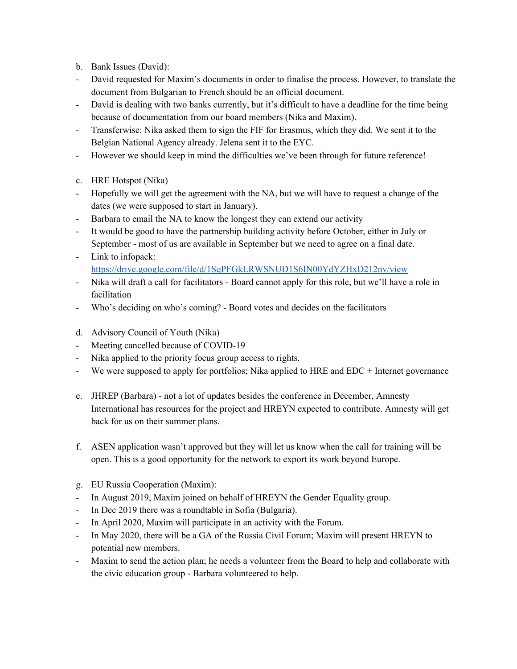- b. Bank Issues (David):
- David requested for Maxim's documents in order to finalise the process. However, to translate the document from Bulgarian to French should be an official document.
- David is dealing with two banks currently, but it's difficult to have a deadline for the time being because of documentation from our board members (Nika and Maxim).
- Transferwise: Nika asked them to sign the FIF for Erasmus, which they did. We sent it to the Belgian National Agency already. Jelena sent it to the EYC.
- However we should keep in mind the difficulties we've been through for future reference!
- c. HRE Hotspot (Nika)
- Hopefully we will get the agreement with the NA, but we will have to request a change of the dates (we were supposed to start in January).
- Barbara to email the NA to know the longest they can extend our activity
- It would be good to have the partnership building activity before October, either in July or September - most of us are available in September but we need to agree on a final date.
- Link to infopack: <https://drive.google.com/file/d/1SqPFGkLRWSNUD1S6IN00YdYZHxD212nv/view>
- Nika will draft a call for facilitators Board cannot apply for this role, but we'll have a role in facilitation
- Who's deciding on who's coming? Board votes and decides on the facilitators
- d. Advisory Council of Youth (Nika)
- Meeting cancelled because of COVID-19
- Nika applied to the priority focus group access to rights.
- We were supposed to apply for portfolios; Nika applied to HRE and EDC + Internet governance
- e. JHREP (Barbara) not a lot of updates besides the conference in December, Amnesty International has resources for the project and HREYN expected to contribute. Amnesty will get back for us on their summer plans.
- f. ASEN application wasn't approved but they will let us know when the call for training will be open. This is a good opportunity for the network to export its work beyond Europe.
- g. EU Russia Cooperation (Maxim):
- In August 2019, Maxim joined on behalf of HREYN the Gender Equality group.
- In Dec 2019 there was a roundtable in Sofia (Bulgaria).
- In April 2020, Maxim will participate in an activity with the Forum.
- In May 2020, there will be a GA of the Russia Civil Forum; Maxim will present HREYN to potential new members.
- Maxim to send the action plan; he needs a volunteer from the Board to help and collaborate with the civic education group - Barbara volunteered to help.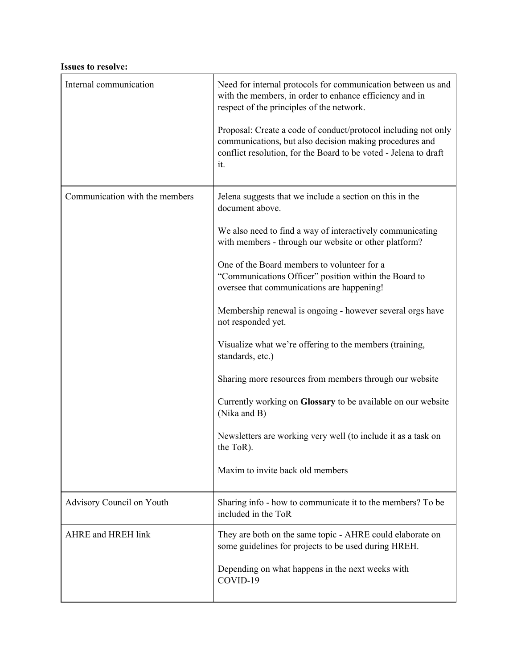#### **Issues to resolve:**

| Internal communication           | Need for internal protocols for communication between us and<br>with the members, in order to enhance efficiency and in<br>respect of the principles of the network.                                 |  |
|----------------------------------|------------------------------------------------------------------------------------------------------------------------------------------------------------------------------------------------------|--|
|                                  | Proposal: Create a code of conduct/protocol including not only<br>communications, but also decision making procedures and<br>conflict resolution, for the Board to be voted - Jelena to draft<br>it. |  |
| Communication with the members   | Jelena suggests that we include a section on this in the<br>document above.                                                                                                                          |  |
|                                  | We also need to find a way of interactively communicating<br>with members - through our website or other platform?                                                                                   |  |
|                                  | One of the Board members to volunteer for a<br>"Communications Officer" position within the Board to<br>oversee that communications are happening!                                                   |  |
|                                  | Membership renewal is ongoing - however several orgs have<br>not responded yet.                                                                                                                      |  |
|                                  | Visualize what we're offering to the members (training,<br>standards, etc.)                                                                                                                          |  |
|                                  | Sharing more resources from members through our website                                                                                                                                              |  |
|                                  | Currently working on Glossary to be available on our website<br>(Nika and B)                                                                                                                         |  |
|                                  | Newsletters are working very well (to include it as a task on<br>the ToR).                                                                                                                           |  |
|                                  | Maxim to invite back old members                                                                                                                                                                     |  |
| Advisory Council on Youth        | Sharing info - how to communicate it to the members? To be<br>included in the ToR                                                                                                                    |  |
| <b>AHRE</b> and <b>HREH</b> link | They are both on the same topic - AHRE could elaborate on<br>some guidelines for projects to be used during HREH.                                                                                    |  |
|                                  | Depending on what happens in the next weeks with<br>COVID-19                                                                                                                                         |  |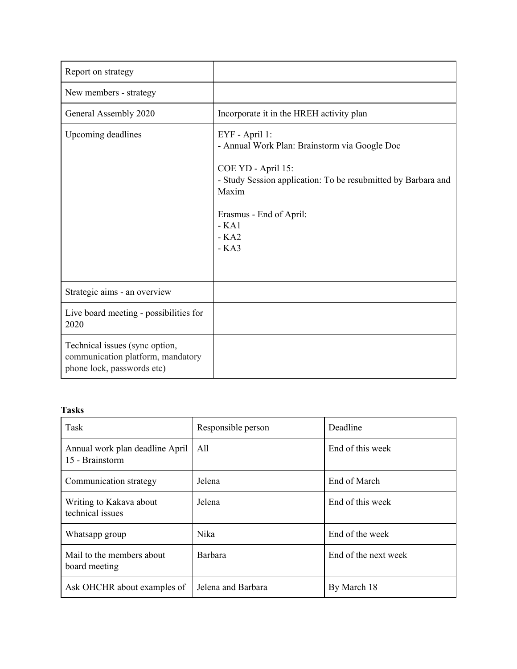| Report on strategy                                                                                |                                                                                                                                                                                                                          |
|---------------------------------------------------------------------------------------------------|--------------------------------------------------------------------------------------------------------------------------------------------------------------------------------------------------------------------------|
| New members - strategy                                                                            |                                                                                                                                                                                                                          |
| General Assembly 2020                                                                             | Incorporate it in the HREH activity plan                                                                                                                                                                                 |
| Upcoming deadlines                                                                                | EYF - April 1:<br>- Annual Work Plan: Brainstorm via Google Doc<br>COE YD - April 15:<br>- Study Session application: To be resubmitted by Barbara and<br>Maxim<br>Erasmus - End of April:<br>$-KA1$<br>$-KA2$<br>$-KA3$ |
| Strategic aims - an overview                                                                      |                                                                                                                                                                                                                          |
| Live board meeting - possibilities for<br>2020                                                    |                                                                                                                                                                                                                          |
| Technical issues (sync option,<br>communication platform, mandatory<br>phone lock, passwords etc) |                                                                                                                                                                                                                          |

# **Tasks**

| Task                                               | Responsible person | Deadline             |
|----------------------------------------------------|--------------------|----------------------|
| Annual work plan deadline April<br>15 - Brainstorm | All                | End of this week     |
| Communication strategy                             | Jelena             | End of March         |
| Writing to Kakava about<br>technical issues        | Jelena             | End of this week     |
| Whatsapp group                                     | Nika               | End of the week      |
| Mail to the members about<br>board meeting         | Barbara            | End of the next week |
| Ask OHCHR about examples of                        | Jelena and Barbara | By March 18          |